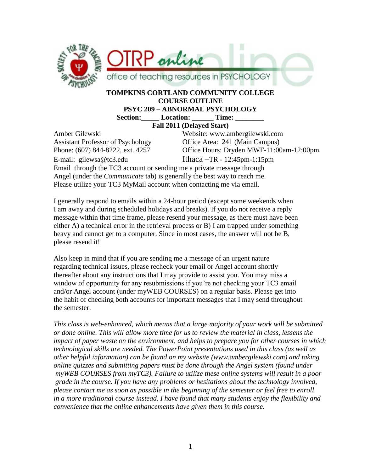

#### **TOMPKINS CORTLAND COMMUNITY COLLEGE COURSE OUTLINE PSYC 209 – ABNORMAL PSYCHOLOGY**

Section: Location: Time:

**Fall 2011 (Delayed Start)**

Amber Gilewski Website: www.ambergilewski.com Assistant Professor of Psychology Office Area: 241 (Main Campus) Phone: (607) 844-8222, ext. 4257 Office Hours: Dryden MWF-11:00am-12:00pm E-mail: gilewsa@tc3.edu Ithaca –TR - 12:45pm-1:15pm

Email through the TC3 account or sending me a private message through Angel (under the *Communicate* tab) is generally the best way to reach me. Please utilize your TC3 MyMail account when contacting me via email.

I generally respond to emails within a 24-hour period (except some weekends when I am away and during scheduled holidays and breaks). If you do not receive a reply message within that time frame, please resend your message, as there must have been either A) a technical error in the retrieval process or B) I am trapped under something heavy and cannot get to a computer. Since in most cases, the answer will not be B, please resend it!

Also keep in mind that if you are sending me a message of an urgent nature regarding technical issues, please recheck your email or Angel account shortly thereafter about any instructions that I may provide to assist you. You may miss a window of opportunity for any resubmissions if you're not checking your TC3 email and/or Angel account (under myWEB COURSES) on a regular basis. Please get into the habit of checking both accounts for important messages that I may send throughout the semester.

*This class is web-enhanced, which means that a large majority of your work will be submitted or done online. This will allow more time for us to review the material in class, lessens the impact of paper waste on the environment, and helps to prepare you for other courses in which technological skills are needed. The PowerPoint presentations used in this class (as well as other helpful information) can be found on my website (www.ambergilewski.com) and taking online quizzes and submitting papers must be done through the Angel system (found under myWEB COURSES from myTC3). Failure to utilize these online systems will result in a poor grade in the course. If you have any problems or hesitations about the technology involved, please contact me as soon as possible in the beginning of the semester or feel free to enroll in a more traditional course instead. I have found that many students enjoy the flexibility and convenience that the online enhancements have given them in this course.*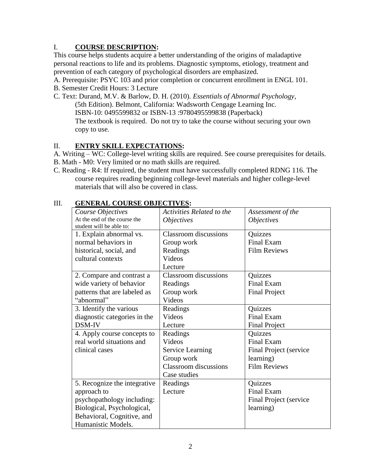## I. **COURSE DESCRIPTION:**

This course helps students acquire a better understanding of the origins of maladaptive personal reactions to life and its problems. Diagnostic symptoms, etiology, treatment and prevention of each category of psychological disorders are emphasized.

A. Prerequisite: PSYC 103 and prior completion or concurrent enrollment in ENGL 101. B. Semester Credit Hours: 3 Lecture

C. Text: Durand, M.V. & Barlow, D. H. (2010). *Essentials of Abnormal Psychology*, (5th Edition). Belmont, California: Wadsworth Cengage Learning Inc. ISBN-10: 0495599832 or ISBN-13 :9780495599838 (Paperback) The textbook is required. Do not try to take the course without securing your own copy to use.

## II. **ENTRY SKILL EXPECTATIONS:**

- A. Writing WC: College-level writing skills are required. See course prerequisites for details. B. Math - M0: Very limited or no math skills are required.
- C. Reading R4: If required, the student must have successfully completed RDNG 116. The course requires reading beginning college-level materials and higher college-level materials that will also be covered in class.

| GENERAL COURSE OBJECTIVES.   |                                  |                          |
|------------------------------|----------------------------------|--------------------------|
| Course Objectives            | <b>Activities Related to the</b> | Assessment of the        |
| At the end of the course the | <i><b>Objectives</b></i>         | <i><b>Objectives</b></i> |
| student will be able to:     |                                  |                          |
| 1. Explain abnormal vs.      | <b>Classroom</b> discussions     | Quizzes                  |
| normal behaviors in          | Group work                       | <b>Final Exam</b>        |
| historical, social, and      | Readings                         | <b>Film Reviews</b>      |
| cultural contexts            | <b>Videos</b>                    |                          |
|                              | Lecture                          |                          |
| 2. Compare and contrast a    | <b>Classroom</b> discussions     | Quizzes                  |
| wide variety of behavior     | Readings                         | Final Exam               |
| patterns that are labeled as | Group work                       | <b>Final Project</b>     |
| "abnormal"                   | Videos                           |                          |
| 3. Identify the various      | Readings                         | Quizzes                  |
| diagnostic categories in the | Videos                           | <b>Final Exam</b>        |
| <b>DSM-IV</b>                | Lecture                          | <b>Final Project</b>     |
| 4. Apply course concepts to  | Readings                         | <b>Quizzes</b>           |
| real world situations and    | Videos                           | <b>Final Exam</b>        |
| clinical cases               | <b>Service Learning</b>          | Final Project (service   |
|                              | Group work                       | learning)                |
|                              | <b>Classroom</b> discussions     | <b>Film Reviews</b>      |
|                              | Case studies                     |                          |
| 5. Recognize the integrative | Readings                         | Quizzes                  |
| approach to                  | Lecture                          | Final Exam               |
| psychopathology including:   |                                  | Final Project (service   |
| Biological, Psychological,   |                                  | learning)                |
| Behavioral, Cognitive, and   |                                  |                          |
| Humanistic Models.           |                                  |                          |

# III. **GENERAL COURSE OBJECTIVES:**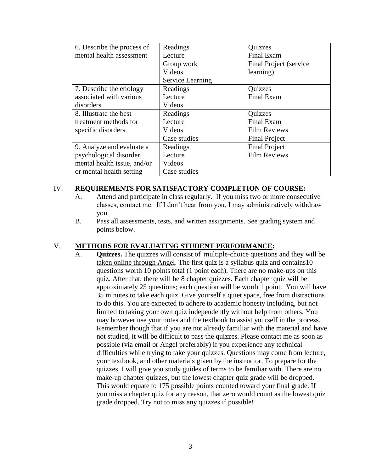| 6. Describe the process of  | Readings                | Quizzes                 |
|-----------------------------|-------------------------|-------------------------|
| mental health assessment    | Lecture                 | <b>Final Exam</b>       |
|                             | Group work              | Final Project (service) |
|                             | <b>Videos</b>           | learning)               |
|                             | <b>Service Learning</b> |                         |
| 7. Describe the etiology    | Readings                | Quizzes                 |
| associated with various     | Lecture                 | Final Exam              |
| disorders                   | Videos                  |                         |
| 8. Illustrate the best      | Readings                | Quizzes                 |
| treatment methods for       | Lecture                 | <b>Final Exam</b>       |
| specific disorders          | Videos                  | <b>Film Reviews</b>     |
|                             | Case studies            | <b>Final Project</b>    |
| 9. Analyze and evaluate a   | Readings                | <b>Final Project</b>    |
| psychological disorder,     | Lecture                 | <b>Film Reviews</b>     |
| mental health issue, and/or | Videos                  |                         |
| or mental health setting    | Case studies            |                         |

## IV. **REQUIREMENTS FOR SATISFACTORY COMPLETION OF COURSE:**

- A. Attend and participate in class regularly. If you miss two or more consecutive classes, contact me. If I don"t hear from you, I may administratively withdraw you.
- B. Pass all assessments, tests, and written assignments. See grading system and points below.

## V. **METHODS FOR EVALUATING STUDENT PERFORMANCE:**

A. **Quizzes.** The quizzes will consist of multiple-choice questions and they will be taken online through Angel. The first quiz is a syllabus quiz and contains10 questions worth 10 points total (1 point each). There are no make-ups on this quiz. After that, there will be 8 chapter quizzes. Each chapter quiz will be approximately 25 questions; each question will be worth 1 point. You will have 35 minutes to take each quiz. Give yourself a quiet space, free from distractions to do this. You are expected to adhere to academic honesty including, but not limited to taking your own quiz independently without help from others. You may however use your notes and the textbook to assist yourself in the process. Remember though that if you are not already familiar with the material and have not studied, it will be difficult to pass the quizzes. Please contact me as soon as possible (via email or Angel preferably) if you experience any technical difficulties while trying to take your quizzes. Questions may come from lecture, your textbook, and other materials given by the instructor. To prepare for the quizzes, I will give you study guides of terms to be familiar with. There are no make-up chapter quizzes, but the lowest chapter quiz grade will be dropped. This would equate to 175 possible points counted toward your final grade. If you miss a chapter quiz for any reason, that zero would count as the lowest quiz grade dropped. Try not to miss any quizzes if possible!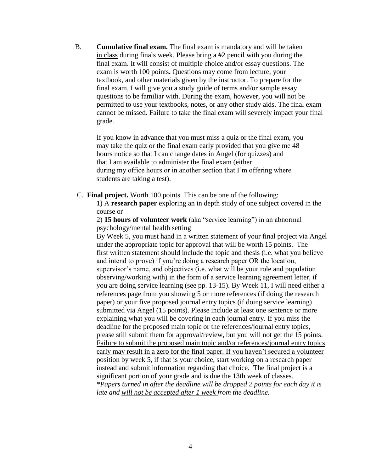B. **Cumulative final exam.** The final exam is mandatory and will be taken in class during finals week. Please bring a #2 pencil with you during the final exam. It will consist of multiple choice and/or essay questions. The exam is worth 100 points**.** Questions may come from lecture, your textbook, and other materials given by the instructor. To prepare for the final exam, I will give you a study guide of terms and/or sample essay questions to be familiar with. During the exam, however, you will not be permitted to use your textbooks, notes, or any other study aids. The final exam cannot be missed. Failure to take the final exam will severely impact your final grade.

If you know in advance that you must miss a quiz or the final exam, you may take the quiz or the final exam early provided that you give me 48 hours notice so that I can change dates in Angel (for quizzes) and that I am available to administer the final exam (either during my office hours or in another section that I'm offering where students are taking a test).

#### C. **Final project.** Worth 100 points. This can be one of the following:

1) A **research paper** exploring an in depth study of one subject covered in the course or

 2) **15 hours of volunteer work** (aka "service learning") in an abnormal psychology/mental health setting

 By Week 5, you must hand in a written statement of your final project via Angel under the appropriate topic for approval that will be worth 15 points. The first written statement should include the topic and thesis (i.e. what you believe and intend to prove) if you"re doing a research paper OR the location, supervisor's name, and objectives (i.e. what will be your role and population observing/working with) in the form of a service learning agreement letter, if you are doing service learning (see pp. 13-15). By Week 11, I will need either a references page from you showing 5 or more references (if doing the research paper) or your five proposed journal entry topics (if doing service learning) submitted via Angel (15 points). Please include at least one sentence or more explaining what you will be covering in each journal entry. If you miss the deadline for the proposed main topic or the references/journal entry topics, please still submit them for approval/review, but you will not get the 15 points. Failure to submit the proposed main topic and/or references/journal entry topics early may result in a zero for the final paper. If you haven't secured a volunteer position by week 5, if that is your choice, start working on a research paper instead and submit information regarding that choice. The final project is a significant portion of your grade and is due the 13th week of classes. *\*Papers turned in after the deadline will be dropped 2 points for each day it is late and will not be accepted after 1 week from the deadline.*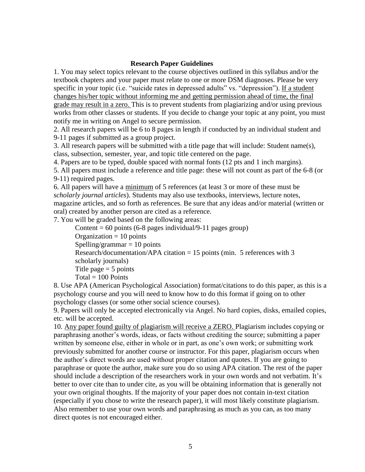#### **Research Paper Guidelines**

1. You may select topics relevant to the course objectives outlined in this syllabus and/or the textbook chapters and your paper must relate to one or more DSM diagnoses. Please be very specific in your topic (i.e. "suicide rates in depressed adults" vs. "depression"). If a student changes his/her topic without informing me and getting permission ahead of time, the final grade may result in a zero. This is to prevent students from plagiarizing and/or using previous works from other classes or students. If you decide to change your topic at any point, you must notify me in writing on Angel to secure permission.

2. All research papers will be 6 to 8 pages in length if conducted by an individual student and 9-11 pages if submitted as a group project.

3. All research papers will be submitted with a title page that will include: Student name(s), class, subsection, semester, year, and topic title centered on the page.

4. Papers are to be typed, double spaced with normal fonts (12 pts and 1 inch margins).

5. All papers must include a reference and title page: these will not count as part of the 6-8 (or 9-11) required pages.

6. All papers will have a minimum of 5 references (at least 3 or more of these must be *scholarly journal articles*). Students may also use textbooks, interviews, lecture notes, magazine articles, and so forth as references. Be sure that any ideas and/or material (written or oral) created by another person are cited as a reference.

7. You will be graded based on the following areas:

Content =  $60$  points ( $6-8$  pages individual/ $9-11$  pages group) Organization  $= 10$  points  $Spelling/grammar = 10 points$ Research/documentation/APA citation  $= 15$  points (min. 5 references with 3 scholarly journals) Title page  $= 5$  points  $Total = 100$  Points

8. Use APA (American Psychological Association) format/citations to do this paper, as this is a psychology course and you will need to know how to do this format if going on to other psychology classes (or some other social science courses).

9. Papers will only be accepted electronically via Angel. No hard copies, disks, emailed copies, etc. will be accepted.

10. Any paper found guilty of plagiarism will receive a ZERO. Plagiarism includes copying or paraphrasing another's words, ideas, or facts without crediting the source; submitting a paper written by someone else, either in whole or in part, as one"s own work; or submitting work previously submitted for another course or instructor. For this paper, plagiarism occurs when the author"s direct words are used without proper citation and quotes. If you are going to paraphrase or quote the author, make sure you do so using APA citation. The rest of the paper should include a description of the researchers work in your own words and not verbatim. It's better to over cite than to under cite, as you will be obtaining information that is generally not your own original thoughts. If the majority of your paper does not contain in-text citation (especially if you chose to write the research paper), it will most likely constitute plagiarism. Also remember to use your own words and paraphrasing as much as you can, as too many direct quotes is not encouraged either.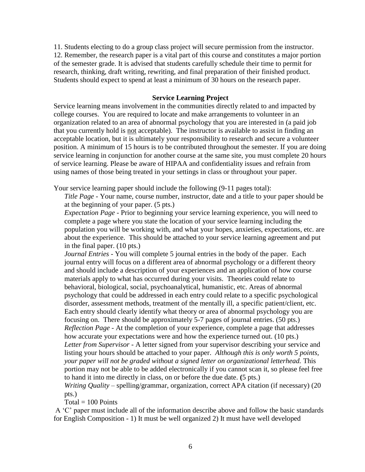11. Students electing to do a group class project will secure permission from the instructor. 12. Remember, the research paper is a vital part of this course and constitutes a major portion of the semester grade. It is advised that students carefully schedule their time to permit for research, thinking, draft writing, rewriting, and final preparation of their finished product. Students should expect to spend at least a minimum of 30 hours on the research paper.

#### **Service Learning Project**

Service learning means involvement in the communities directly related to and impacted by college courses. You are required to locate and make arrangements to volunteer in an organization related to an area of abnormal psychology that you are interested in (a paid job that you currently hold is not acceptable). The instructor is available to assist in finding an acceptable location, but it is ultimately your responsibility to research and secure a volunteer position. A minimum of 15 hours is to be contributed throughout the semester. If you are doing service learning in conjunction for another course at the same site, you must complete 20 hours of service learning. Please be aware of HIPAA and confidentiality issues and refrain from using names of those being treated in your settings in class or throughout your paper.

Your service learning paper should include the following (9-11 pages total):

*Title Page* - Your name, course number, instructor, date and a title to your paper should be at the beginning of your paper. (5 pts.)

*Expectation Page* - Prior to beginning your service learning experience, you will need to complete a page where you state the location of your service learning including the population you will be working with, and what your hopes, anxieties, expectations, etc. are about the experience. This should be attached to your service learning agreement and put in the final paper. (10 pts.)

*Journal Entries* - You will complete 5 journal entries in the body of the paper. Each journal entry will focus on a different area of abnormal psychology or a different theory and should include a description of your experiences and an application of how course materials apply to what has occurred during your visits. Theories could relate to behavioral, biological, social, psychoanalytical, humanistic, etc. Areas of abnormal psychology that could be addressed in each entry could relate to a specific psychological disorder, assessment methods, treatment of the mentally ill, a specific patient/client, etc. Each entry should clearly identify what theory or area of abnormal psychology you are focusing on. There should be approximately 5-7 pages of journal entries. (50 pts.) *Reflection Page* - At the completion of your experience, complete a page that addresses how accurate your expectations were and how the experience turned out. (10 pts.) *Letter from Supervisor* - A letter signed from your supervisor describing your service and listing your hours should be attached to your paper. *Although this is only worth 5 points, your paper will not be graded without a signed letter on organizational letterhead.* This portion may not be able to be added electronically if you cannot scan it, so please feel free to hand it into me directly in class, on or before the due date. **(**5 pts.)

*Writing Quality* – spelling/grammar, organization, correct APA citation (if necessary) (20 pts.)

 $Total = 100$  Points

A "C" paper must include all of the information describe above and follow the basic standards for English Composition - 1) It must be well organized 2) It must have well developed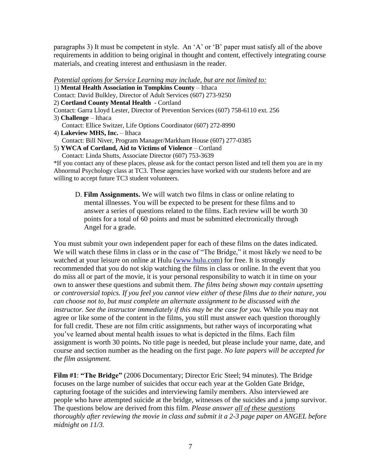paragraphs 3) It must be competent in style. An "A" or "B" paper must satisfy all of the above requirements in addition to being original in thought and content, effectively integrating course materials, and creating interest and enthusiasm in the reader.

*Potential options for Service Learning may include, but are not limited to:* 1) **Mental Health Association in Tompkins County** – Ithaca Contact: David Bulkley, Director of Adult Services (607) 273-9250 2) **Cortland County Mental Health** - Cortland Contact: Garra Lloyd Lester, Director of Prevention Services (607) 758-6110 ext. 256 3) **Challenge** – Ithaca Contact: Ellice Switzer, Life Options Coordinator (607) 272-8990 4) **Lakeview MHS, Inc.** – Ithaca Contact: Bill Niver, Program Manager/Markham House (607) 277-0385 5) **YWCA of Cortland, Aid to Victims of Violence** – Cortland Contact: Linda Shutts, Associate Director (607) 753-3639 \*If you contact any of these places, please ask for the contact person listed and tell them you are in my

Abnormal Psychology class at TC3. These agencies have worked with our students before and are willing to accept future TC3 student volunteers.

D. **Film Assignments.** We will watch two films in class or online relating to mental illnesses. You will be expected to be present for these films and to answer a series of questions related to the films. Each review will be worth 30 points for a total of 60 points and must be submitted electronically through Angel for a grade.

You must submit your own independent paper for each of these films on the dates indicated. We will watch these films in class or in the case of "The Bridge," it most likely we need to be watched at your leisure on online at Hulu [\(www.hulu.com\)](http://www.hulu.com/) for free. It is strongly recommended that you do not skip watching the films in class or online. In the event that you do miss all or part of the movie, it is your personal responsibility to watch it in time on your own to answer these questions and submit them. *The films being shown may contain upsetting or controversial topics. If you feel you cannot view either of these films due to their nature, you can choose not to, but must complete an alternate assignment to be discussed with the instructor. See the instructor immediately if this may be the case for you.* While you may not agree or like some of the content in the films, you still must answer each question thoroughly for full credit. These are not film critic assignments, but rather ways of incorporating what you"ve learned about mental health issues to what is depicted in the films. Each film assignment is worth 30 points**.** No title page is needed, but please include your name, date, and course and section number as the heading on the first page. *No late papers will be accepted for the film assignment.* 

**Film #1**: **"The Bridge"** (2006 Documentary; Director Eric Steel; 94 minutes). The Bridge focuses on the large number of suicides that occur each year at the Golden Gate Bridge, capturing footage of the suicides and interviewing family members. Also interviewed are people who have attempted suicide at the bridge, witnesses of the suicides and a jump survivor. The questions below are derived from this film. *Please answer all of these questions thoroughly after reviewing the movie in class and submit it a 2-3 page paper on ANGEL before midnight on 11/3.*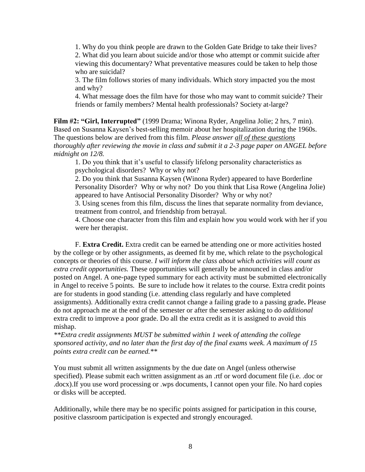1. Why do you think people are drawn to the Golden Gate Bridge to take their lives? 2. What did you learn about suicide and/or those who attempt or commit suicide after viewing this documentary? What preventative measures could be taken to help those who are suicidal?

3. The film follows stories of many individuals. Which story impacted you the most and why?

4. What message does the film have for those who may want to commit suicide? Their friends or family members? Mental health professionals? Society at-large?

**Film #2: "Girl, Interrupted"** (1999 Drama; Winona Ryder, Angelina Jolie; 2 hrs, 7 min). Based on Susanna Kaysen's best-selling memoir about her hospitalization during the 1960s. The questions below are derived from this film. *Please answer all of these questions thoroughly after reviewing the movie in class and submit it a 2-3 page paper on ANGEL before midnight on 12/8.*

1. Do you think that it"s useful to classify lifelong personality characteristics as psychological disorders? Why or why not?

2. Do you think that Susanna Kaysen (Winona Ryder) appeared to have Borderline Personality Disorder? Why or why not? Do you think that Lisa Rowe (Angelina Jolie) appeared to have Antisocial Personality Disorder? Why or why not?

3. Using scenes from this film, discuss the lines that separate normality from deviance, treatment from control, and friendship from betrayal.

4. Choose one character from this film and explain how you would work with her if you were her therapist.

F. **Extra Credit.** Extra credit can be earned be attending one or more activities hosted by the college or by other assignments, as deemed fit by me, which relate to the psychological concepts or theories of this course. *I will inform the class about which activities will count as extra credit opportunities.* These opportunities will generally be announced in class and/or posted on Angel. A one-page typed summary for each activity must be submitted electronically in Angel to receive 5 points. Be sure to include how it relates to the course. Extra credit points are for students in good standing (i.e. attending class regularly and have completed assignments). Additionally extra credit cannot change a failing grade to a passing grade**.** Please do not approach me at the end of the semester or after the semester asking to do *additional* extra credit to improve a poor grade. Do all the extra credit as it is assigned to avoid this mishap.

*\*\*Extra credit assignments MUST be submitted within 1 week of attending the college sponsored activity, and no later than the first day of the final exams week. A maximum of 15 points extra credit can be earned.\*\**

You must submit all written assignments by the due date on Angel (unless otherwise specified). Please submit each written assignment as an .rtf or word document file (i.e. .doc or .docx).If you use word processing or .wps documents, I cannot open your file. No hard copies or disks will be accepted.

Additionally, while there may be no specific points assigned for participation in this course, positive classroom participation is expected and strongly encouraged.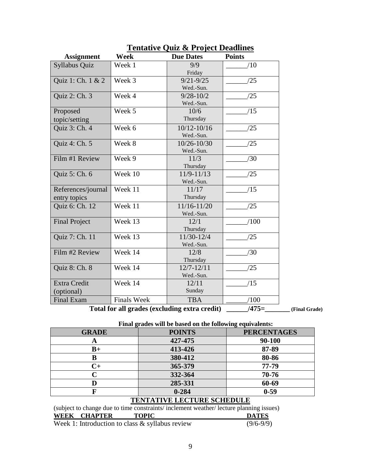| <b>Syllabus Quiz</b><br>Week 1<br>9/9<br>/10<br>Friday<br>Quiz 1: Ch. 1 & 2<br>Week 3<br>$9/21 - 9/25$<br>/25<br>Wed.-Sun.<br>Quiz 2: Ch. 3<br>$9/28 - 10/2$<br>Week 4<br>/25<br>Wed.-Sun.<br>Week 5<br>10/6<br>/15<br>Proposed<br>Thursday<br>topic/setting<br>Week 6<br>/25<br>Quiz 3: Ch. 4<br>$10/12 - 10/16$<br>Wed.-Sun.<br>Quiz 4: Ch. 5<br>10/26-10/30<br>Week 8<br>/25<br>Wed.-Sun.<br>Film #1 Review<br>Week 9<br>11/3<br>/30<br>Thursday<br>/25<br>Week 10<br>$11/9 - 11/13$<br>Quiz 5: Ch. 6<br>Wed.-Sun.<br>Week 11<br>/15<br>11/17<br>References/journal<br>Thursday<br>entry topics<br>Week 11<br>Quiz 6: Ch. 12<br>$11/16 - 11/20$<br>/25<br>Wed.-Sun.<br>Week $1\overline{3}$<br>12/1<br><b>Final Project</b><br>/100<br>Thursday<br>Quiz 7: Ch. 11<br>Week 13<br>11/30-12/4<br>/25<br>Wed.-Sun.<br>Film #2 Review<br>Week 14<br>/30<br>12/8 | <b>Assignment</b> | <b>Week</b> | <b>Due Dates</b> | <b>Points</b> |
|---------------------------------------------------------------------------------------------------------------------------------------------------------------------------------------------------------------------------------------------------------------------------------------------------------------------------------------------------------------------------------------------------------------------------------------------------------------------------------------------------------------------------------------------------------------------------------------------------------------------------------------------------------------------------------------------------------------------------------------------------------------------------------------------------------------------------------------------------------------|-------------------|-------------|------------------|---------------|
|                                                                                                                                                                                                                                                                                                                                                                                                                                                                                                                                                                                                                                                                                                                                                                                                                                                               |                   |             |                  |               |
|                                                                                                                                                                                                                                                                                                                                                                                                                                                                                                                                                                                                                                                                                                                                                                                                                                                               |                   |             |                  |               |
|                                                                                                                                                                                                                                                                                                                                                                                                                                                                                                                                                                                                                                                                                                                                                                                                                                                               |                   |             |                  |               |
|                                                                                                                                                                                                                                                                                                                                                                                                                                                                                                                                                                                                                                                                                                                                                                                                                                                               |                   |             |                  |               |
|                                                                                                                                                                                                                                                                                                                                                                                                                                                                                                                                                                                                                                                                                                                                                                                                                                                               |                   |             |                  |               |
|                                                                                                                                                                                                                                                                                                                                                                                                                                                                                                                                                                                                                                                                                                                                                                                                                                                               |                   |             |                  |               |
|                                                                                                                                                                                                                                                                                                                                                                                                                                                                                                                                                                                                                                                                                                                                                                                                                                                               |                   |             |                  |               |
|                                                                                                                                                                                                                                                                                                                                                                                                                                                                                                                                                                                                                                                                                                                                                                                                                                                               |                   |             |                  |               |
|                                                                                                                                                                                                                                                                                                                                                                                                                                                                                                                                                                                                                                                                                                                                                                                                                                                               |                   |             |                  |               |
|                                                                                                                                                                                                                                                                                                                                                                                                                                                                                                                                                                                                                                                                                                                                                                                                                                                               |                   |             |                  |               |
|                                                                                                                                                                                                                                                                                                                                                                                                                                                                                                                                                                                                                                                                                                                                                                                                                                                               |                   |             |                  |               |
|                                                                                                                                                                                                                                                                                                                                                                                                                                                                                                                                                                                                                                                                                                                                                                                                                                                               |                   |             |                  |               |
|                                                                                                                                                                                                                                                                                                                                                                                                                                                                                                                                                                                                                                                                                                                                                                                                                                                               |                   |             |                  |               |
|                                                                                                                                                                                                                                                                                                                                                                                                                                                                                                                                                                                                                                                                                                                                                                                                                                                               |                   |             |                  |               |
|                                                                                                                                                                                                                                                                                                                                                                                                                                                                                                                                                                                                                                                                                                                                                                                                                                                               |                   |             |                  |               |
|                                                                                                                                                                                                                                                                                                                                                                                                                                                                                                                                                                                                                                                                                                                                                                                                                                                               |                   |             |                  |               |
|                                                                                                                                                                                                                                                                                                                                                                                                                                                                                                                                                                                                                                                                                                                                                                                                                                                               |                   |             |                  |               |
|                                                                                                                                                                                                                                                                                                                                                                                                                                                                                                                                                                                                                                                                                                                                                                                                                                                               |                   |             |                  |               |
|                                                                                                                                                                                                                                                                                                                                                                                                                                                                                                                                                                                                                                                                                                                                                                                                                                                               |                   |             |                  |               |
|                                                                                                                                                                                                                                                                                                                                                                                                                                                                                                                                                                                                                                                                                                                                                                                                                                                               |                   |             |                  |               |
|                                                                                                                                                                                                                                                                                                                                                                                                                                                                                                                                                                                                                                                                                                                                                                                                                                                               |                   |             |                  |               |
|                                                                                                                                                                                                                                                                                                                                                                                                                                                                                                                                                                                                                                                                                                                                                                                                                                                               |                   |             |                  |               |
|                                                                                                                                                                                                                                                                                                                                                                                                                                                                                                                                                                                                                                                                                                                                                                                                                                                               |                   |             |                  |               |
|                                                                                                                                                                                                                                                                                                                                                                                                                                                                                                                                                                                                                                                                                                                                                                                                                                                               |                   |             |                  |               |
|                                                                                                                                                                                                                                                                                                                                                                                                                                                                                                                                                                                                                                                                                                                                                                                                                                                               |                   |             |                  |               |
|                                                                                                                                                                                                                                                                                                                                                                                                                                                                                                                                                                                                                                                                                                                                                                                                                                                               |                   |             | Thursday         |               |
| Quiz 8: Ch. 8<br>Week 14<br>/25<br>$12/7 - 12/11$                                                                                                                                                                                                                                                                                                                                                                                                                                                                                                                                                                                                                                                                                                                                                                                                             |                   |             |                  |               |
| Wed.-Sun.                                                                                                                                                                                                                                                                                                                                                                                                                                                                                                                                                                                                                                                                                                                                                                                                                                                     |                   |             |                  |               |
| <b>Extra Credit</b><br>Week 14<br>/15<br>12/11                                                                                                                                                                                                                                                                                                                                                                                                                                                                                                                                                                                                                                                                                                                                                                                                                |                   |             |                  |               |
| Sunday<br>(optional)                                                                                                                                                                                                                                                                                                                                                                                                                                                                                                                                                                                                                                                                                                                                                                                                                                          |                   |             |                  |               |
| <b>Final Exam</b><br><b>Finals Week</b><br><b>TBA</b><br>/100                                                                                                                                                                                                                                                                                                                                                                                                                                                                                                                                                                                                                                                                                                                                                                                                 |                   |             |                  |               |

# **Tentative Quiz & Project Deadlines**

**Total for all grades (excluding extra credit) \_\_\_\_\_\_/475=\_\_\_\_\_\_\_ (Final Grade)**

**Final grades will be based on the following equivalents:**

|           | 90-100   |
|-----------|----------|
| 413-426   | 87-89    |
| 380-412   | 80-86    |
| 365-379   | 77-79    |
| 332-364   | 70-76    |
| 285-331   | 60-69    |
| $0 - 284$ | $0 - 59$ |
|           | 427-475  |

## **TENTATIVE LECTURE SCHEDULE**

|              | (subject to change due to time constraints/inclement weather/lecture planning issues) |              |
|--------------|---------------------------------------------------------------------------------------|--------------|
| WEEK CHAPTED | $T\Omega T$                                                                           | <b>DATEC</b> |

**WEEK CHAPTER TOPIC DATES**<br>Week 1: Introduction to class & syllabus review (9/6-9/9) Week 1: Introduction to class  $&$  syllabus review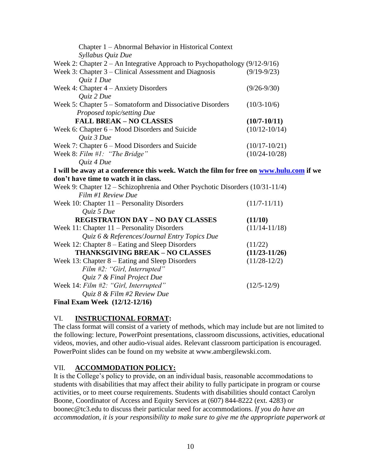| Chapter 1 – Abnormal Behavior in Historical Context                                     |                   |
|-----------------------------------------------------------------------------------------|-------------------|
| Syllabus Quiz Due                                                                       |                   |
| Week 2: Chapter $2 - An$ Integrative Approach to Psychopathology (9/12-9/16)            |                   |
| Week $3$ : Chapter $3$ – Clinical Assessment and Diagnosis                              | $(9/19-9/23)$     |
| Quiz 1 Due                                                                              |                   |
| Week 4: Chapter 4 - Anxiety Disorders                                                   | $(9/26 - 9/30)$   |
| Quiz 2 Due                                                                              |                   |
| Week 5: Chapter 5 – Somatoform and Dissociative Disorders                               | $(10/3-10/6)$     |
| Proposed topic/setting Due                                                              |                   |
| <b>FALL BREAK - NO CLASSES</b>                                                          | $(10/7 - 10/11)$  |
| Week 6: Chapter 6 – Mood Disorders and Suicide                                          | $(10/12 - 10/14)$ |
| Quiz 3 Due                                                                              |                   |
| Week 7: Chapter 6 - Mood Disorders and Suicide                                          | $(10/17-10/21)$   |
| Week 8: Film #1: "The Bridge"                                                           | $(10/24 - 10/28)$ |
| Quiz 4 Due                                                                              |                   |
| I will be away at a conference this week. Watch the film for free on www.hulu.com if we |                   |
| don't have time to watch it in class.                                                   |                   |
| Week 9: Chapter 12 – Schizophrenia and Other Psychotic Disorders (10/31-11/4)           |                   |
| Film #1 Review Due                                                                      |                   |
| Week 10: Chapter 11 - Personality Disorders                                             | $(11/7-11/11)$    |
| Quiz 5 Due                                                                              |                   |
| <b>REGISTRATION DAY - NO DAY CLASSES</b>                                                | (11/10)           |
| Week 11: Chapter 11 – Personality Disorders                                             | $(11/14 - 11/18)$ |
| Quiz 6 & References/Journal Entry Topics Due                                            |                   |
| Week 12: Chapter 8 – Eating and Sleep Disorders                                         | (11/22)           |
| <b>THANKSGIVING BREAK - NO CLASSES</b>                                                  | $(11/23-11/26)$   |
| Week 13: Chapter 8 - Eating and Sleep Disorders                                         | $(11/28-12/2)$    |
| Film #2: "Girl, Interrupted"                                                            |                   |
| Quiz 7 & Final Project Due                                                              |                   |
| Week 14: Film #2: "Girl, Interrupted"                                                   | $(12/5 - 12/9)$   |
| Quiz 8 & Film #2 Review Due                                                             |                   |
| Final Exam Week (12/12-12/16)                                                           |                   |

## VI. **INSTRUCTIONAL FORMAT:**

The class format will consist of a variety of methods, which may include but are not limited to the following: lecture, PowerPoint presentations, classroom discussions, activities, educational videos, movies, and other audio-visual aides. Relevant classroom participation is encouraged. PowerPoint slides can be found on my website at www.ambergilewski.com.

## VII. **ACCOMMODATION POLICY:**

It is the College"s policy to provide, on an individual basis, reasonable accommodations to students with disabilities that may affect their ability to fully participate in program or course activities, or to meet course requirements. Students with disabilities should contact Carolyn Boone, Coordinator of Access and Equity Services at (607) 844-8222 (ext. 4283) or boonec@tc3.edu to discuss their particular need for accommodations. *If you do have an accommodation, it is your responsibility to make sure to give me the appropriate paperwork at*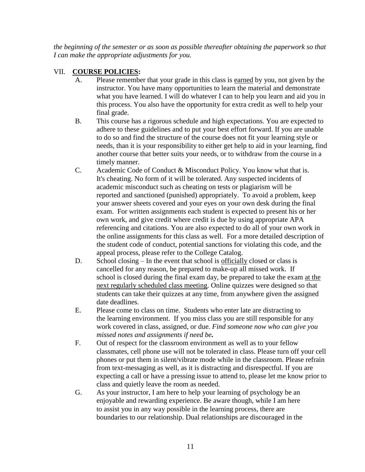*the beginning of the semester or as soon as possible thereafter obtaining the paperwork so that I can make the appropriate adjustments for you.*

## VII. **COURSE POLICIES:**

- A. Please remember that your grade in this class is earned by you, not given by the instructor. You have many opportunities to learn the material and demonstrate what you have learned. I will do whatever I can to help you learn and aid you in this process. You also have the opportunity for extra credit as well to help your final grade.
- B. This course has a rigorous schedule and high expectations. You are expected to adhere to these guidelines and to put your best effort forward. If you are unable to do so and find the structure of the course does not fit your learning style or needs, than it is your responsibility to either get help to aid in your learning, find another course that better suits your needs, or to withdraw from the course in a timely manner.
- C. Academic Code of Conduct & Misconduct Policy. You know what that is. It's cheating. No form of it will be tolerated. Any suspected incidents of academic misconduct such as cheating on tests or plagiarism will be reported and sanctioned (punished) appropriately. To avoid a problem, keep your answer sheets covered and your eyes on your own desk during the final exam. For written assignments each student is expected to present his or her own work, and give credit where credit is due by using appropriate APA referencing and citations. You are also expected to do all of your own work in the online assignments for this class as well. For a more detailed description of the student code of conduct, potential sanctions for violating this code, and the appeal process, please refer to the College Catalog.
- D. School closing In the event that school is officially closed or class is cancelled for any reason, be prepared to make-up all missed work. If school is closed during the final exam day, be prepared to take the exam at the next regularly scheduled class meeting. Online quizzes were designed so that students can take their quizzes at any time, from anywhere given the assigned date deadlines.
- E. Please come to class on time. Students who enter late are distracting to the learning environment. If you miss class you are still responsible for any work covered in class, assigned, or due. *Find someone now who can give you missed notes and assignments if need be.*
- F. Out of respect for the classroom environment as well as to your fellow classmates, cell phone use will not be tolerated in class. Please turn off your cell phones or put them in silent/vibrate mode while in the classroom. Please refrain from text-messaging as well, as it is distracting and disrespectful. If you are expecting a call or have a pressing issue to attend to, please let me know prior to class and quietly leave the room as needed.
- G. As your instructor, I am here to help your learning of psychology be an enjoyable and rewarding experience. Be aware though, while I am here to assist you in any way possible in the learning process, there are boundaries to our relationship. Dual relationships are discouraged in the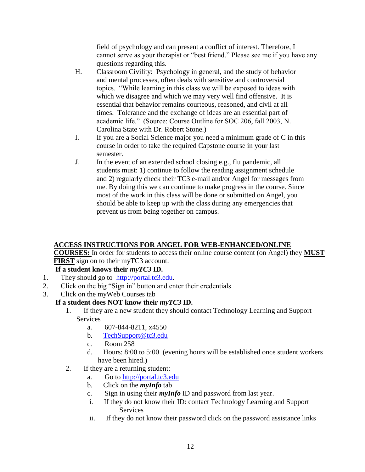field of psychology and can present a conflict of interest. Therefore, I cannot serve as your therapist or "best friend." Please see me if you have any questions regarding this.

- H. Classroom Civility: Psychology in general, and the study of behavior and mental processes, often deals with sensitive and controversial topics. "While learning in this class we will be exposed to ideas with which we disagree and which we may very well find offensive. It is essential that behavior remains courteous, reasoned, and civil at all times. Tolerance and the exchange of ideas are an essential part of academic life." (Source: Course Outline for SOC 206, fall 2003, N. Carolina State with Dr. Robert Stone.)
- I. If you are a Social Science major you need a minimum grade of C in this course in order to take the required Capstone course in your last semester.
- J. In the event of an extended school closing e.g., flu pandemic, all students must: 1) continue to follow the reading assignment schedule and 2) regularly check their TC3 e-mail and/or Angel for messages from me. By doing this we can continue to make progress in the course. Since most of the work in this class will be done or submitted on Angel, you should be able to keep up with the class during any emergencies that prevent us from being together on campus.

# **ACCESS INSTRUCTIONS FOR ANGEL FOR WEB-ENHANCED/ONLINE**

**COURSES:** In order for students to access their online course content (on Angel) they **MUST FIRST** sign on to their myTC3 account.

# **If a student knows their** *myTC3* **ID.**

- 1. They should go to [http://portal.tc3.edu.](http://www.mail.sunytccc.edu/owa/redir.aspx?C=6fb060756eb94a64a11b0a7e013a7be1&URL=http%3a%2f%2fportal.tc3.edu)
- 2. Click on the big "Sign in" button and enter their credentials
- 3. Click on the myWeb Courses tab

# **If a student does NOT know their** *myTC3* **ID.**

- 1. If they are a new student they should contact Technology Learning and Support **Services** 
	- a. 607-844-8211, x4550
	- b. [TechSupport@tc3.edu](http://www.mail.sunytccc.edu/owa/redir.aspx?C=6fb060756eb94a64a11b0a7e013a7be1&URL=mailto%3aTechSupport%40tc3.edu)
	- c. Room 258
	- d. Hours: 8:00 to 5:00 (evening hours will be established once student workers have been hired.)
- 2. If they are a returning student:
	- a. Go to [http://portal.tc3.edu](http://www.mail.sunytccc.edu/owa/redir.aspx?C=6fb060756eb94a64a11b0a7e013a7be1&URL=http%3a%2f%2fportal.tc3.edu)
	- b. Click on the *myInfo* tab
	- c. Sign in using their *myInfo* ID and password from last year.
	- i. If they do not know their ID: contact Technology Learning and Support Services
	- ii. If they do not know their password click on the password assistance links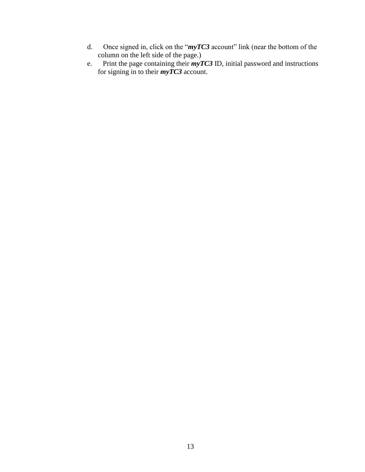- d. Once signed in, click on the "*myTC3* account" link (near the bottom of the column on the left side of the page.)
- e. Print the page containing their *myTC3* ID, initial password and instructions for signing in to their *myTC3* account.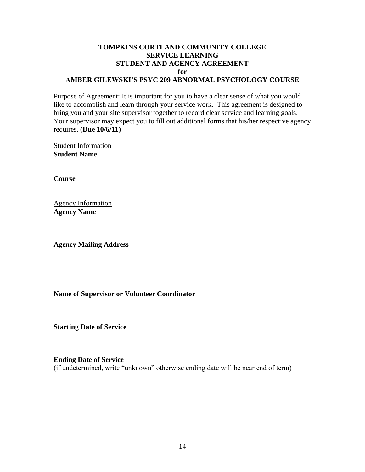## **TOMPKINS CORTLAND COMMUNITY COLLEGE SERVICE LEARNING STUDENT AND AGENCY AGREEMENT for AMBER GILEWSKI'S PSYC 209 ABNORMAL PSYCHOLOGY COURSE**

Purpose of Agreement: It is important for you to have a clear sense of what you would like to accomplish and learn through your service work. This agreement is designed to bring you and your site supervisor together to record clear service and learning goals. Your supervisor may expect you to fill out additional forms that his/her respective agency requires. **(Due 10/6/11)** 

Student Information **Student Name**

**Course** 

Agency Information **Agency Name**

**Agency Mailing Address**

**Name of Supervisor or Volunteer Coordinator**

**Starting Date of Service**

**Ending Date of Service** (if undetermined, write "unknown" otherwise ending date will be near end of term)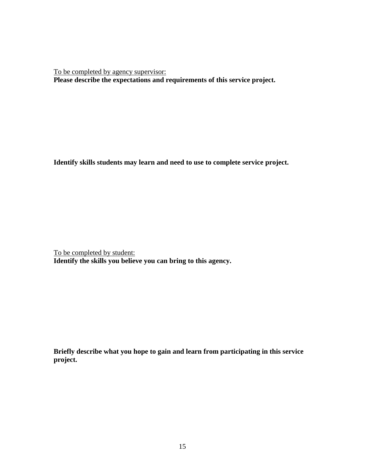To be completed by agency supervisor:

**Please describe the expectations and requirements of this service project.**

**Identify skills students may learn and need to use to complete service project.**

To be completed by student: **Identify the skills you believe you can bring to this agency.**

**Briefly describe what you hope to gain and learn from participating in this service project.**